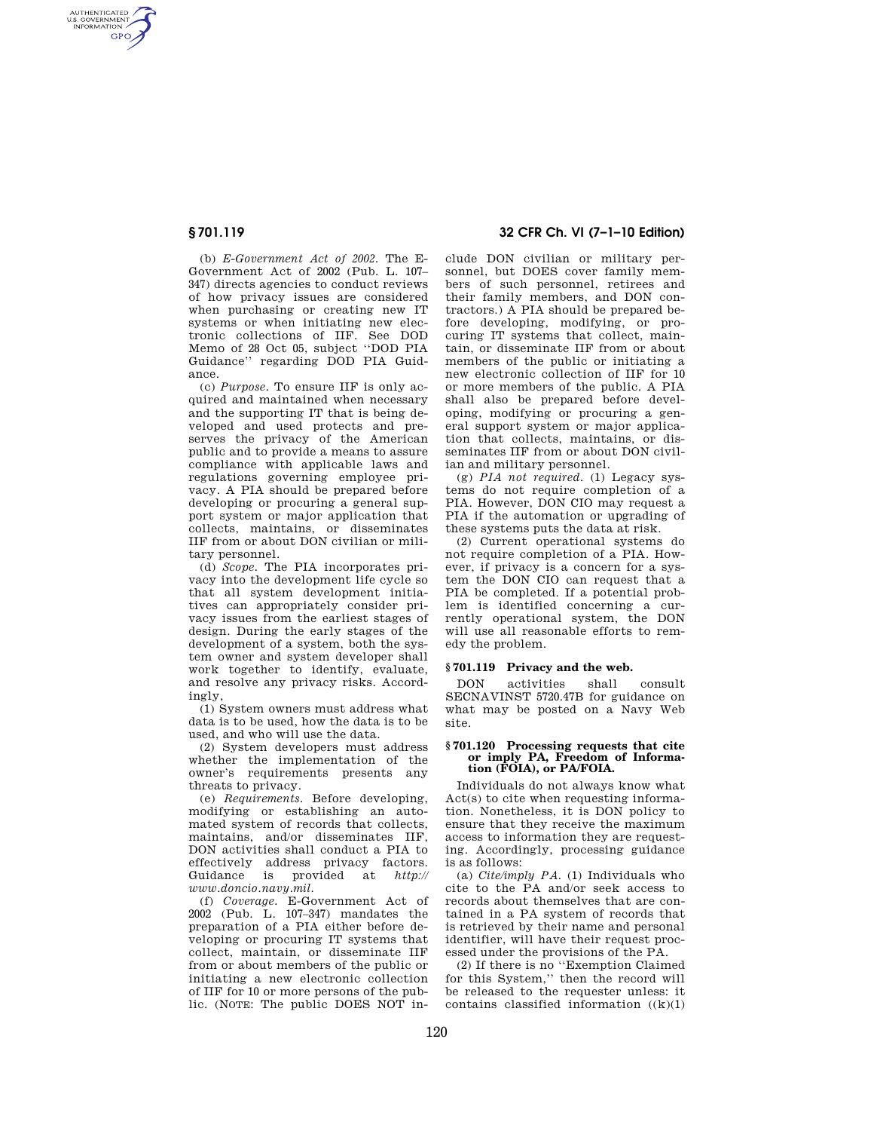AUTHENTICATED<br>U.S. GOVERNMENT<br>INFORMATION **GPO** 

> (b) *E-Government Act of 2002.* The E-Government Act of 2002 (Pub. L. 107– 347) directs agencies to conduct reviews of how privacy issues are considered when purchasing or creating new IT systems or when initiating new electronic collections of IIF. See DOD Memo of 28 Oct 05, subject ''DOD PIA Guidance'' regarding DOD PIA Guidance.

> (c) *Purpose.* To ensure IIF is only acquired and maintained when necessary and the supporting IT that is being developed and used protects and preserves the privacy of the American public and to provide a means to assure compliance with applicable laws and regulations governing employee privacy. A PIA should be prepared before developing or procuring a general support system or major application that collects, maintains, or disseminates IIF from or about DON civilian or military personnel.

> (d) *Scope.* The PIA incorporates privacy into the development life cycle so that all system development initiatives can appropriately consider privacy issues from the earliest stages of design. During the early stages of the development of a system, both the system owner and system developer shall work together to identify, evaluate, and resolve any privacy risks. Accordingly

> (1) System owners must address what data is to be used, how the data is to be used, and who will use the data.

> (2) System developers must address whether the implementation of the owner's requirements presents any threats to privacy.

> (e) *Requirements.* Before developing, modifying or establishing an automated system of records that collects, maintains, and/or disseminates IIF, DON activities shall conduct a PIA to effectively address privacy factors.<br>Guidance is provided at *http://* is provided at *http:// www.doncio.navy.mil.*

> (f) *Coverage.* E-Government Act of 2002 (Pub. L. 107–347) mandates the preparation of a PIA either before developing or procuring IT systems that collect, maintain, or disseminate IIF from or about members of the public or initiating a new electronic collection of IIF for 10 or more persons of the public. (NOTE: The public DOES NOT in-

# **§ 701.119 32 CFR Ch. VI (7–1–10 Edition)**

clude DON civilian or military personnel, but DOES cover family members of such personnel, retirees and their family members, and DON contractors.) A PIA should be prepared before developing, modifying, or procuring IT systems that collect, maintain, or disseminate IIF from or about members of the public or initiating a new electronic collection of IIF for 10 or more members of the public. A PIA shall also be prepared before developing, modifying or procuring a general support system or major application that collects, maintains, or disseminates IIF from or about DON civilian and military personnel.

(g) *PIA not required.* (1) Legacy systems do not require completion of a PIA. However, DON CIO may request a PIA if the automation or upgrading of these systems puts the data at risk.

(2) Current operational systems do not require completion of a PIA. However, if privacy is a concern for a system the DON CIO can request that a PIA be completed. If a potential problem is identified concerning a currently operational system, the DON will use all reasonable efforts to remedy the problem.

## **§ 701.119 Privacy and the web.**

DON activities shall consult SECNAVINST 5720.47B for guidance on what may be posted on a Navy Web site.

#### **§ 701.120 Processing requests that cite or imply PA, Freedom of Information (FOIA), or PA/FOIA.**

Individuals do not always know what Act(s) to cite when requesting information. Nonetheless, it is DON policy to ensure that they receive the maximum access to information they are requesting. Accordingly, processing guidance is as follows:

(a) *Cite/imply PA.* (1) Individuals who cite to the PA and/or seek access to records about themselves that are contained in a PA system of records that is retrieved by their name and personal identifier, will have their request processed under the provisions of the PA.

(2) If there is no ''Exemption Claimed for this System,'' then the record will be released to the requester unless: it contains classified information  $((k)(1))$